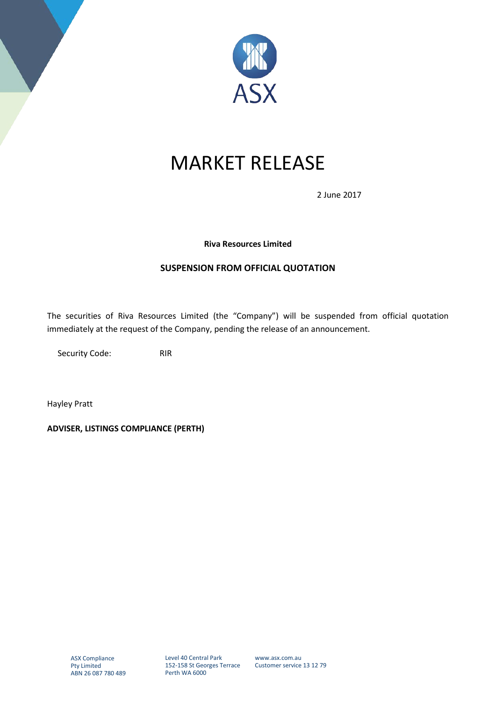

# MARKET RELEASE

2 June 2017

### **Riva Resources Limited**

## **SUSPENSION FROM OFFICIAL QUOTATION**

The securities of Riva Resources Limited (the "Company") will be suspended from official quotation immediately at the request of the Company, pending the release of an announcement.

Security Code: RIR

Hayley Pratt

**ADVISER, LISTINGS COMPLIANCE (PERTH)**

Level 40 Central Park 152-158 St Georges Terrace Perth WA 6000

www.asx.com.au Customer service 13 12 79